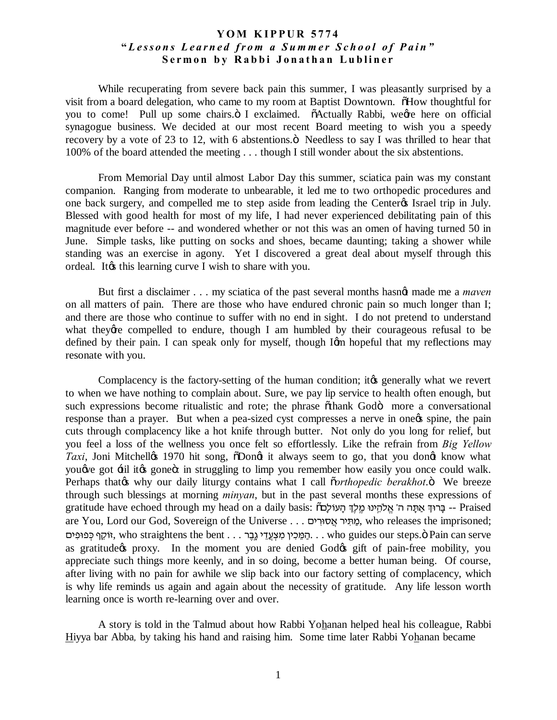While recuperating from severe back pain this summer, I was pleasantly surprised by a visit from a board delegation, who came to my room at Baptist Downtown. "How thoughtful for you to come! Pull up some chairs. I exclaimed.  $\delta$ Actually Rabbi, we there on official synagogue business. We decided at our most recent Board meeting to wish you a speedy recovery by a vote of 23 to 12, with 6 abstentions. $\ddot{o}$  Needless to say I was thrilled to hear that 100% of the board attended the meeting . . . though I still wonder about the six abstentions.

From Memorial Day until almost Labor Day this summer, sciatica pain was my constant companion. Ranging from moderate to unbearable, it led me to two orthopedic procedures and one back surgery, and compelled me to step aside from leading the Center es Israel trip in July. Blessed with good health for most of my life, I had never experienced debilitating pain of this magnitude ever before -- and wondered whether or not this was an omen of having turned 50 in June. Simple tasks, like putting on socks and shoes, became daunting; taking a shower while standing was an exercise in agony. Yet I discovered a great deal about myself through this ordeal. It this learning curve I wish to share with you.

But first a disclaimer . . . my sciatica of the past several months hasnot made me a *maven* on all matters of pain. There are those who have endured chronic pain so much longer than I; and there are those who continue to suffer with no end in sight. I do not pretend to understand what they te compelled to endure, though I am humbled by their courageous refusal to be defined by their pain. I can speak only for myself, though Ign hopeful that my reflections may resonate with you.

Complacency is the factory-setting of the human condition; it is generally what we revert to when we have nothing to complain about. Sure, we pay lip service to health often enough, but such expressions become ritualistic and rote; the phrase  $\delta$ thank God $\ddot{o}$  more a conversational response than a prayer. But when a pea-sized cyst compresses a nerve in one os spine, the pain cuts through complacency like a hot knife through butter. Not only do you long for relief, but you feel a loss of the wellness you once felt so effortlessly. Like the refrain from *Big Yellow Taxi*, Joni Mitchell (s) 1970 hit song,  $\delta$ Dongt it always seem to go, that you dongt know what you we got  $\pm$ il it its gone o in struggling to limp you remember how easily you once could walk. Perhaps that *why our daily liturgy contains what* I call *ourthopedic berakhot*.<sup>"</sup> We breeze through such blessings at morning *minyan*, but in the past several months these expressions of gratitude have echoed through my head on a daily basis: "פְּרוּךָ אֲתָּה ה אֱלֹהֱינוּ מֵלֵךְ הַעוֹלָם -- Praised are You, Lord our God, Sovereign of the Universe . . . מתיר אסורים, who releases the imprisoned; ּחָמֵכִין מִצְעֲדֵי גָבֵר . . . . . הַמֵּכִין מִצְעֲדֵי גָבֵר. . . who guides our steps.ö Pain can serve as gratitude proxy. In the moment you are denied God of gift of pain-free mobility, you appreciate such things more keenly, and in so doing, become a better human being. Of course, after living with no pain for awhile we slip back into our factory setting of complacency, which is why life reminds us again and again about the necessity of gratitude. Any life lesson worth learning once is worth re-learning over and over.

A story is told in the Talmud about how Rabbi Yohanan helped heal his colleague, Rabbi Hiyya bar Abba*,* by taking his hand and raising him. Some time later Rabbi Yohanan became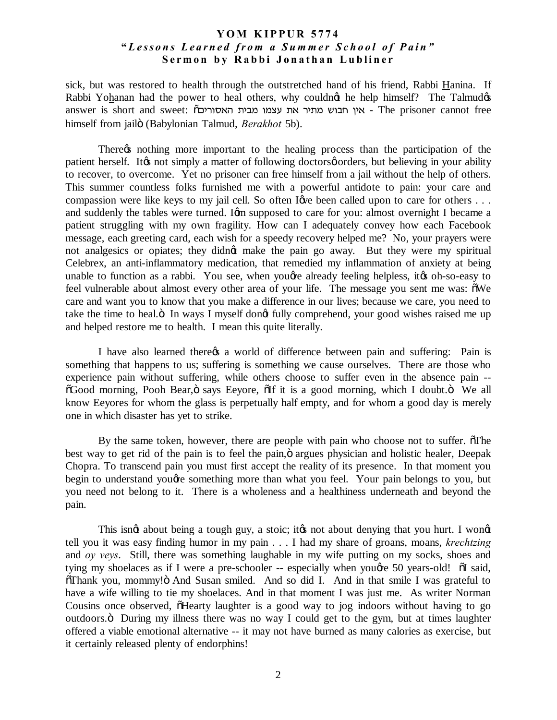sick, but was restored to health through the outstretched hand of his friend, Rabbi Hanina. If Rabbi Yohanan had the power to heal others, why couldnot he help himself? The Talmudos answer is short and sweet: "מען חבוש מתיר את עצמו מבית האסורים - The prisoner cannot free himself from jailö (Babylonian Talmud, *Berakhot* 5b).

There to nothing more important to the healing process than the participation of the patient herself. It to not simply a matter of following doctors orders, but believing in your ability to recover, to overcome. Yet no prisoner can free himself from a jail without the help of others. This summer countless folks furnished me with a powerful antidote to pain: your care and compassion were like keys to my jail cell. So often I give been called upon to care for others  $\dots$ and suddenly the tables were turned. Ign supposed to care for you: almost overnight I became a patient struggling with my own fragility. How can I adequately convey how each Facebook message, each greeting card, each wish for a speedy recovery helped me? No, your prayers were not analgesics or opiates; they didnot make the pain go away. But they were my spiritual Celebrex, an anti-inflammatory medication, that remedied my inflammation of anxiety at being unable to function as a rabbi. You see, when you *dee* already feeling helpless, it as oh-so-easy to feel vulnerable about almost every other area of your life. The message you sent me was:  $\delta$ We care and want you to know that you make a difference in our lives; because we care, you need to take the time to heal. $\ddot{o}$  In ways I myself dongt fully comprehend, your good wishes raised me up and helped restore me to health. I mean this quite literally.

I have also learned there a world of difference between pain and suffering: Pain is something that happens to us; suffering is something we cause ourselves. There are those who experience pain without suffering, while others choose to suffer even in the absence pain --  $\tilde{\sigma}$ Good morning, Pooh Bear, $\ddot{\sigma}$  says Eeyore,  $\tilde{\sigma}$ If it is a good morning, which I doubt. $\ddot{\sigma}$  We all know Eeyores for whom the glass is perpetually half empty, and for whom a good day is merely one in which disaster has yet to strike.

By the same token, however, there are people with pain who choose not to suffer. The best way to get rid of the pain is to feel the pain, ö argues physician and holistic healer, Deepak Chopra. To transcend pain you must first accept the reality of its presence. In that moment you begin to understand you the something more than what you feel. Your pain belongs to you, but you need not belong to it. There is a wholeness and a healthiness underneath and beyond the pain.

This isngt about being a tough guy, a stoic; itgs not about denying that you hurt. I wongt tell you it was easy finding humor in my pain . . . I had my share of groans, moans, *krechtzing* and *oy veys*. Still, there was something laughable in my wife putting on my socks, shoes and tying my shoelaces as if I were a pre-schooler -- especially when you de 50 years-old! The said,  $\delta$ Thank you, mommy! $\delta$  And Susan smiled. And so did I. And in that smile I was grateful to have a wife willing to tie my shoelaces. And in that moment I was just me. As writer Norman Cousins once observed,  $\delta$ Hearty laughter is a good way to jog indoors without having to go outdoors. $\ddot{o}$  During my illness there was no way I could get to the gym, but at times laughter offered a viable emotional alternative -- it may not have burned as many calories as exercise, but it certainly released plenty of endorphins!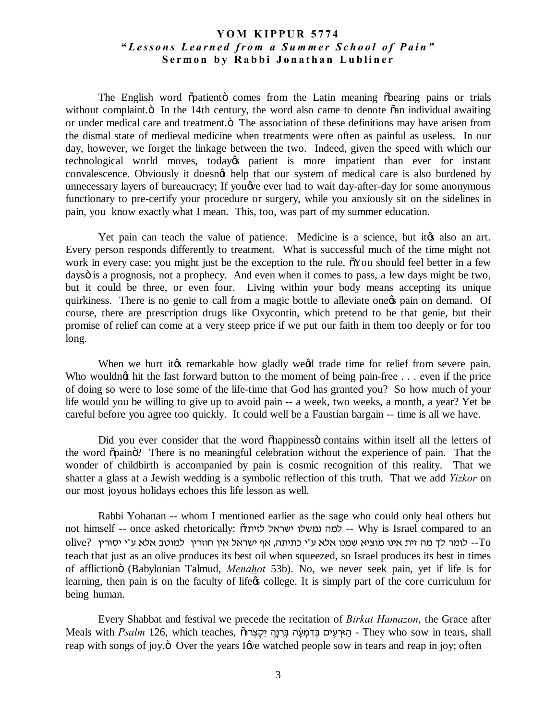The English word  $\tilde{\rho}$  patient comes from the Latin meaning  $\tilde{\rho}$  bearing pains or trials without complaint. $\ddot{o}$  In the 14th century, the word also came to denote  $\ddot{o}$  an individual awaiting or under medical care and treatment. The association of these definitions may have arisen from the dismal state of medieval medicine when treatments were often as painful as useless. In our day, however, we forget the linkage between the two. Indeed, given the speed with which our technological world moves, today's patient is more impatient than ever for instant convalescence. Obviously it doesn't help that our system of medical care is also burdened by unnecessary layers of bureaucracy; If you we ever had to wait day-after-day for some anonymous functionary to pre-certify your procedure or surgery, while you anxiously sit on the sidelines in pain, you know exactly what I mean. This, too, was part of my summer education.

Yet pain can teach the value of patience. Medicine is a science, but it to also an art. Every person responds differently to treatment. What is successful much of the time might not work in every case; you might just be the exception to the rule.  $\tilde{\alpha}$ You should feel better in a few daysö is a prognosis, not a prophecy. And even when it comes to pass, a few days might be two, but it could be three, or even four. Living within your body means accepting its unique quirkiness. There is no genie to call from a magic bottle to alleviate one's pain on demand. Of course, there are prescription drugs like Oxycontin, which pretend to be that genie, but their promise of relief can come at a very steep price if we put our faith in them too deeply or for too long.

When we hurt it to remarkable how gladly we'd trade time for relief from severe pain. Who wouldng hit the fast forward button to the moment of being pain-free  $\dots$  even if the price of doing so were to lose some of the life-time that God has granted you? So how much of your life would you be willing to give up to avoid pain -- a week, two weeks, a month, a year? Yet be careful before you agree too quickly. It could well be a Faustian bargain -- time is all we have.

Did you ever consider that the word  $\tilde{\text{ohappings}}$  contains within itself all the letters of the word "pain"? There is no meaningful celebration without the experience of pain. That the wonder of childbirth is accompanied by pain is cosmic recognition of this reality. That we shatter a glass at a Jewish wedding is a symbolic reflection of this truth. That we add *Yizkor* on our most joyous holidays echoes this life lesson as well.

Rabbi Yohanan -- whom I mentioned earlier as the sage who could only heal others but not himself -- once asked rhetorically: "למה נמשלו ישראל לאית -- Why is Israel compared to an  $\rm~olive?$  ס'וויץ ישראל אין חוזרין למוטב אלא ע"י געוויץ sive? הית האינו מוציא שמנו אלא ע"י האינו  $\rm~To$ teach that just as an olive produces its best oil when squeezed, so Israel produces its best in times of affliction" (Babylonian Talmud, *Menahot* 53b). No, we never seek pain, yet if life is for learning, then pain is on the faculty of life to college. It is simply part of the core curriculum for being human.

Every Shabbat and festival we precede the recitation of *Birkat Hamazon*, the Grace after Meals with *Psalm* 126, which teaches, "כְּאֲרָנָה יִקְצְרֹחָ eras, who sow in tears, shall reap with songs of joy. " Over the years I we watched people sow in tears and reap in joy; often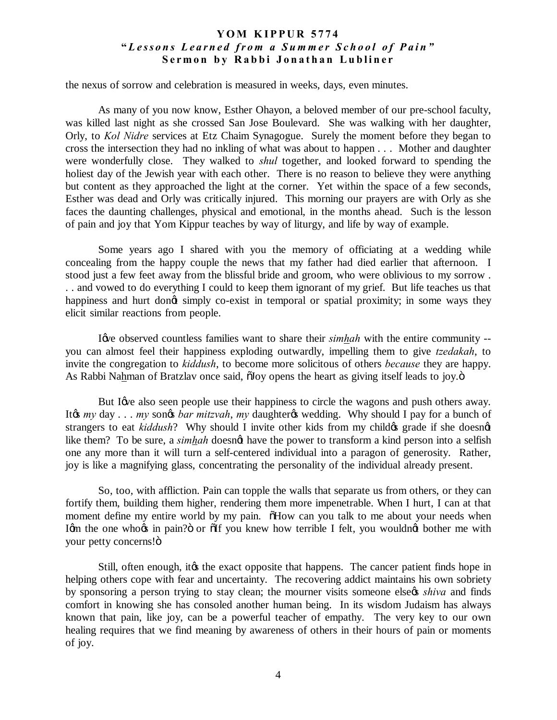the nexus of sorrow and celebration is measured in weeks, days, even minutes.

As many of you now know, Esther Ohayon, a beloved member of our pre-school faculty, was killed last night as she crossed San Jose Boulevard. She was walking with her daughter, Orly, to *Kol Nidre* services at Etz Chaim Synagogue. Surely the moment before they began to cross the intersection they had no inkling of what was about to happen . . . Mother and daughter were wonderfully close. They walked to *shul* together, and looked forward to spending the holiest day of the Jewish year with each other. There is no reason to believe they were anything but content as they approached the light at the corner. Yet within the space of a few seconds, Esther was dead and Orly was critically injured. This morning our prayers are with Orly as she faces the daunting challenges, physical and emotional, in the months ahead. Such is the lesson of pain and joy that Yom Kippur teaches by way of liturgy, and life by way of example.

Some years ago I shared with you the memory of officiating at a wedding while concealing from the happy couple the news that my father had died earlier that afternoon. I stood just a few feet away from the blissful bride and groom, who were oblivious to my sorrow . . . and vowed to do everything I could to keep them ignorant of my grief. But life teaches us that happiness and hurt dongt simply co-exist in temporal or spatial proximity; in some ways they elicit similar reactions from people.

I g observed countless families want to share their *simhah* with the entire community -you can almost feel their happiness exploding outwardly, impelling them to give *tzedakah*, to invite the congregation to *kiddush*, to become more solicitous of others *because* they are happy. As Rabbi Nahman of Bratzlav once said,  $\delta$ Joy opens the heart as giving itself leads to joy. $\ddot{o}$ 

But I give also seen people use their happiness to circle the wagons and push others away. Itgs *my* day . . . *my* songs *bar mitzvah*, *my* daughtergs wedding. Why should I pay for a bunch of strangers to eat *kiddush*? Why should I invite other kids from my child $\alpha$  grade if she doesn $\alpha$ like them? To be sure, a *simhah* doesngt have the power to transform a kind person into a selfish one any more than it will turn a self-centered individual into a paragon of generosity. Rather, joy is like a magnifying glass, concentrating the personality of the individual already present.

So, too, with affliction. Pain can topple the walls that separate us from others, or they can fortify them, building them higher, rendering them more impenetrable. When I hurt, I can at that moment define my entire world by my pain. The GH ow can you talk to me about your needs when Igm the one whogs in pain?" or "our knew how terrible I felt, you wouldngt bother me with your petty concerns! $\ddot{\text{o}}$ 

Still, often enough, it the exact opposite that happens. The cancer patient finds hope in helping others cope with fear and uncertainty. The recovering addict maintains his own sobriety by sponsoring a person trying to stay clean; the mourner visits someone elsects *shiva* and finds comfort in knowing she has consoled another human being. In its wisdom Judaism has always known that pain, like joy, can be a powerful teacher of empathy. The very key to our own healing requires that we find meaning by awareness of others in their hours of pain or moments of joy.